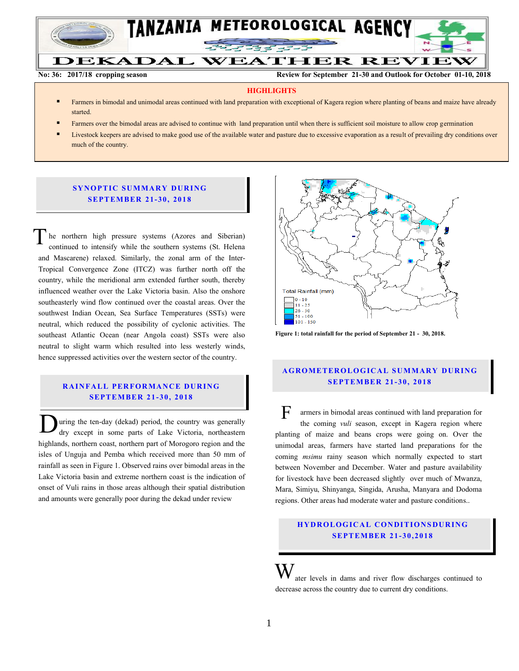

**No: 36: 2017/18 cropping season Review for September 21-30 and Outlook for October 01-10, 2018**

#### **HIGHLIGHTS**

- Farmers in bimodal and unimodal areas continued with land preparation with exceptional of Kagera region where planting of beans and maize have already started.
- Farmers over the bimodal areas are advised to continue with land preparation until when there is sufficient soil moisture to allow crop germination
- Livestock keepers are advised to make good use of the available water and pasture due to excessive evaporation as a result of prevailing dry conditions over much of the country.

## **SYNOPTIC SUMMARY DURING SEPT EMBER 21- 30, 201 8**

he northern high pressure systems (Azores and Siberian) continued to intensify while the southern systems (St. Helena and Mascarene) relaxed. Similarly, the zonal arm of the Inter-Tropical Convergence Zone (ITCZ) was further north off the country, while the meridional arm extended further south, thereby influenced weather over the Lake Victoria basin. Also the onshore southeasterly wind flow continued over the coastal areas. Over the southwest Indian Ocean, Sea Surface Temperatures (SSTs) were neutral, which reduced the possibility of cyclonic activities. The southeast Atlantic Ocean (near Angola coast) SSTs were also neutral to slight warm which resulted into less westerly winds, hence suppressed activities over the western sector of the country. T

## **RAINFALL PERFORMANCE DURING SEPT EMBER 2 1- 30, 2018**

uring the ten-day (dekad) period, the country was generally dry except in some parts of Lake Victoria, northeastern highlands, northern coast, northern part of Morogoro region and the isles of Unguja and Pemba which received more than 50 mm of rainfall as seen in Figure 1. Observed rains over bimodal areas in the Lake Victoria basin and extreme northern coast is the indication of onset of Vuli rains in those areas although their spatial distribution and amounts were generally poor during the dekad under review  $\overline{\mathbf{D}}$ 



**Figure 1: total rainfall for the period of September 21 - 30, 2018.**

# **A G RO METER O LO G IC AL SU MMAR Y DU R IN G SEPT EMBER 2 1- 30, 2018**

armers in bimodal areas continued with land preparation for the coming *vuli* season, except in Kagera region where planting of maize and beans crops were going on. Over the unimodal areas, farmers have started land preparations for the coming *msimu* rainy season which normally expected to start between November and December. Water and pasture availability for livestock have been decreased slightly over much of Mwanza, Mara, Simiyu, Shinyanga, Singida, Arusha, Manyara and Dodoma regions. Other areas had moderate water and pasture conditions..  $\mathbf{F}$ 

# **H Y DR O LOG IC A L C ON DITIO N SDU R IN G SEPT EMBER 2 1- 30 , 2018**

ater levels in dams and river flow discharges continued to decrease across the country due to current dry conditions. W